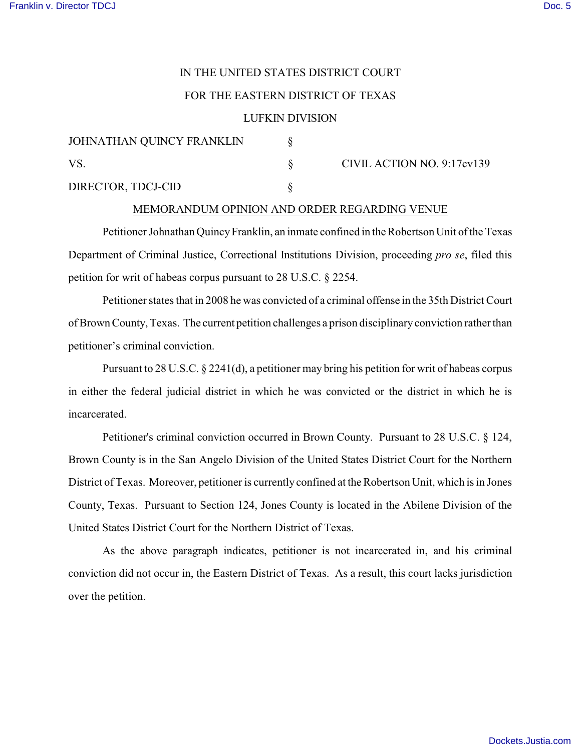## IN THE UNITED STATES DISTRICT COURT

## FOR THE EASTERN DISTRICT OF TEXAS

### LUFKIN DIVISION

| JOHNATHAN QUINCY FRANKLIN |  | CIVIL ACTION NO. 9:17cv139 |
|---------------------------|--|----------------------------|
| VS                        |  |                            |
| DIRECTOR, TDCJ-CID        |  |                            |

#### MEMORANDUM OPINION AND ORDER REGARDING VENUE

Petitioner Johnathan Quincy Franklin, an inmate confined in the Robertson Unit of the Texas Department of Criminal Justice, Correctional Institutions Division, proceeding *pro se*, filed this petition for writ of habeas corpus pursuant to 28 U.S.C. § 2254.

Petitioner states that in 2008 he was convicted of a criminal offense in the 35th District Court of Brown County, Texas. The current petition challenges a prison disciplinary conviction rather than petitioner's criminal conviction.

Pursuant to 28 U.S.C. § 2241(d), a petitioner may bring his petition for writ of habeas corpus in either the federal judicial district in which he was convicted or the district in which he is incarcerated.

 Petitioner's criminal conviction occurred in Brown County. Pursuant to 28 U.S.C. § 124, Brown County is in the San Angelo Division of the United States District Court for the Northern District of Texas. Moreover, petitioner is currently confined at the Robertson Unit, which is in Jones County, Texas. Pursuant to Section 124, Jones County is located in the Abilene Division of the United States District Court for the Northern District of Texas.

As the above paragraph indicates, petitioner is not incarcerated in, and his criminal conviction did not occur in, the Eastern District of Texas. As a result, this court lacks jurisdiction over the petition.